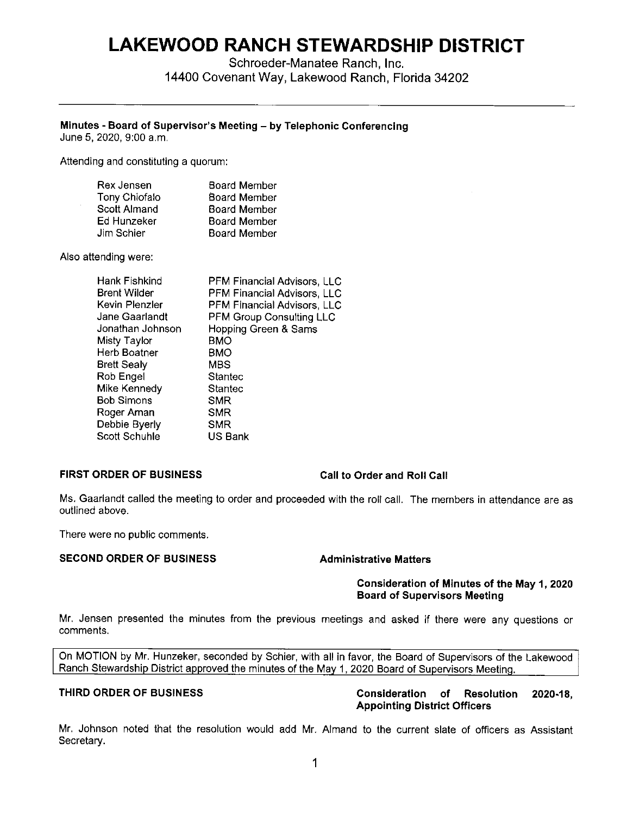# **LAKEWOOD RANCH STEWARDSHIP DISTRICT**

Schroeder-Manatee Ranch, Inc. 14400 Covenant Way, Lakewood Ranch, Florida 34202

# **Minutes** - **Board of Supervisor's Meeting** - **by Telephonic Conferencing**

June 5, 2020, 9:00 a.m.

Attending and constituting a quorum:

| Rex Jensen           | <b>Board Member</b> |
|----------------------|---------------------|
| <b>Tony Chiofalo</b> | <b>Board Member</b> |
| Scott Almand         | <b>Board Member</b> |
| Ed Hunzeker          | <b>Board Member</b> |
| Jim Schier           | <b>Board Member</b> |

Also attending were:

| Hank Fishkind     | PFM Financial Advisors, LLC     |
|-------------------|---------------------------------|
| Brent Wilder      | PFM Financial Advisors, LLC     |
| Kevin Plenzler    | PFM Financial Advisors, LLC     |
| Jane Gaarlandt    | <b>PFM Group Consulting LLC</b> |
| Jonathan Johnson  | Hopping Green & Sams            |
| Misty Taylor      | BMO                             |
| Herb Boatner      | <b>BMO</b>                      |
| Brett Sealy       | MBS                             |
| Rob Engel         | Stantec                         |
| Mike Kennedy      | Stantec                         |
| <b>Bob Simons</b> | SMR                             |
| Roger Aman        | SMR                             |
| Debbie Byerly     | <b>SMR</b>                      |
| Scott Schuhle     | US Bank                         |
|                   |                                 |

### **FIRST ORDER OF BUSINESS Call to Order and Roll Call**

Ms. Gaarlandt called the meeting to order and proceeded with the roll call. The members in attendance are as outlined above.

There were no public comments.

# **SECOND ORDER OF BUSINESS Administrative Matters**

### **Consideration of Minutes of the May 1, 2020 Board of Supervisors Meeting**

Mr. Jensen presented the minutes from the previous meetings and asked if there were any questions or comments.

On MOTION by Mr. Hunzeker, seconded by Schier, with all in favor, the Board of Supervisors of the Lakewood Ranch Stewardship District approved the minutes of the May 1, 2020 Board of Supervisors Meeting.

# **THIRD ORDER OF BUSINESS Consideration of Resolution 2020-18, Appointing District Officers**

Mr. Johnson noted that the resolution would add Mr. Almand to the current slate of officers as Assistant Secretary.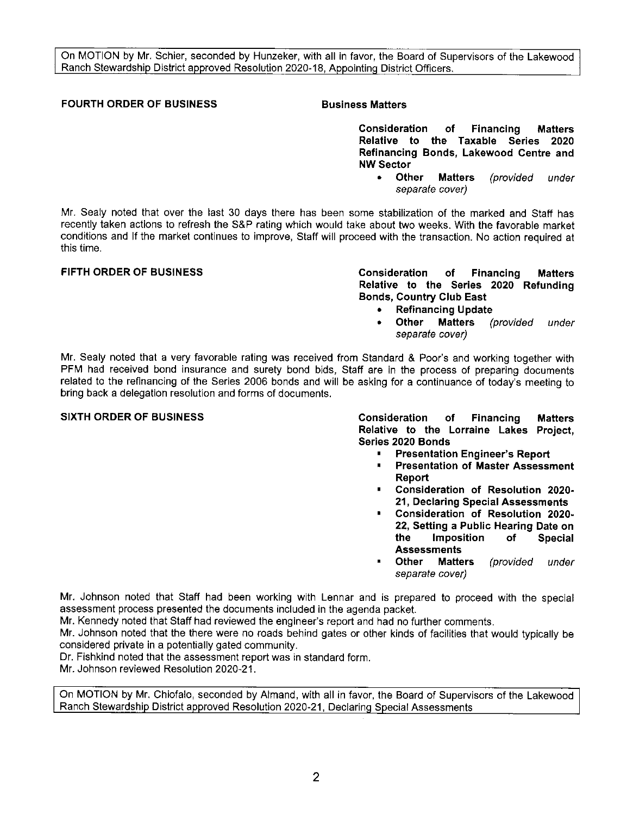On MOTION by Mr. Schier, seconded by Hunzeker, with all in favor, the Board of Supervisors of the Lakewood Ranch Stewardship District approved Resolution 2020-18, Appointing District Officers.

# **FOURTH ORDER OF BUSINESS FOURTH ORDER OF BUSINESS AND BUSINESS Matters**

**Consideration of Financing Matters Relative to the Taxable Series 2020 Refinancing Bonds, Lakewood Centre and NW Sector** 

> • **Other Matters** (provided under separate cover)

Mr. Sealy noted that over the last 30 days there has been some stabilization of the marked and Staff has recently taken actions to refresh the S&P rating which would take about two weeks. With the favorable market conditions and If the market continues to improve, Staff will proceed with the transaction. No action required at this time.

### **FIFTH ORDER OF BUSINESS Consideration of Financing Matters Relative to the Series 2020 Refunding Bonds, Country Club East**

- **Refinancing Update**
- **Other Matters** (provided under separate cover)

Mr. Sealy noted that a very favorable rating was received from Standard & Poor's and working together with **PFM** had received bond insurance and surety bond bids, Staff are in the process of preparing documents related to the refinancing of the Series 2006 bonds and will be asking for a continuance of today's meeting to bring back a delegation resolution and forms of documents.

**SIXTH ORDER OF BUSINESS Consideration of Financing Matters Relative to the Lorraine Lakes Project, Series 2020 Bonds** 

- **Presentation Engineer's Report**
- **Presentation of Master Assessment Report**
- **Consideration of Resolution 2020- 21, Declaring Special Assessments**
- **Consideration of Resolution 2020- 22, Setting a Public Hearing Date on the Imposition of Special Assessments**
- **Other Matters** (provided under separate cover)

**Mr.** Johnson noted that Staff had been working with Lennar and is prepared to proceed with the special assessment process presented the documents included in the agenda packet.

Mr. Kennedy noted that Staff had reviewed the engineer's report and had no further comments.

Mr. Johnson noted that the there were no roads behind gates or other kinds of facilities that would typically be considered private in a potentially gated community.

Dr. Fishkind noted that the assessment report was in standard form.

Mr. Johnson reviewed Resolution 2020-21.

On MOTION by **Mr.** Chiofalo, seconded by Almand, with all in favor, the Board of Supervisors of the Lakewood Ranch Stewardship District approved Resolution 2020-21, Declaring Special Assessments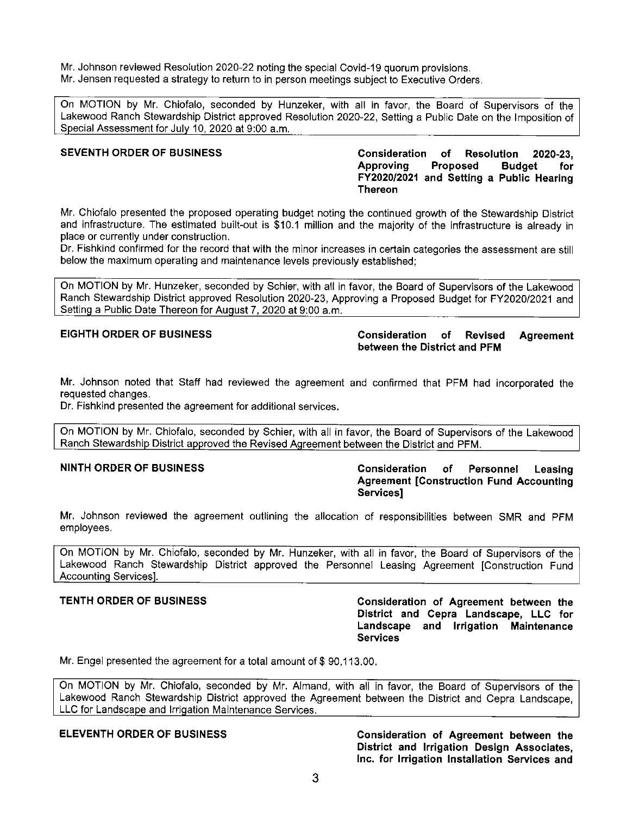Mr. Johnson reviewed Resolution 2020-22 noting the special Covid-19 quorum provisions. Mr. Jensen requested a strategy to return to in person meetings subject to Executive Orders.

On MOTION by Mr. Chiofalo, seconded by Hunzeker, with all in favor, the Board of Supervisors of the Lakewood Ranch Stewardship District approved Resolution 2020-22, Setting a Public Date on the Imposition of Special Assessment for July 10, 2020 at 9:00 a.m.

**SEVENTH ORDER OF BUSINESS Consideration of Resolution 2020-23, Approving Proposed Budget for FY2020/2021 and Setting a Public Hearing Thereon** 

Mr. Chiofalo presented the proposed operating budget noting the continued growth of the Stewardship District and infrastructure. The estimated built-out is \$10.1 million and the majority of the infrastructure is already in place or currently under construction.

Dr. Fishkind confirmed for the record that with the minor increases in certain categories the assessment are still below the maximum operating and maintenance levels previously established;

On MOTION by Mr. Hunzeker, seconded by Schier, with all in favor, the Board of Supervisors of the Lakewood Ranch Stewardship District approved Resolution 2020-23, Approving a Proposed Budget for FY2020/2021 and Setting a Public Date Thereon for August 7, 2020 at 9:00 a.m.

# **EIGHTH ORDER OF BUSINESS Consideration of Revised Agreement between the District and PFM**

Mr. Johnson noted that Staff had reviewed the agreement and confirmed that PFM had incorporated the requested changes.

Dr. Fishkind presented the agreement for additional services.

On MOTION by Mr. Chiofalo, seconded by Schier, with all in favor, the Board of Supervisors of the Lakewood Ranch Stewardship District approved the Revised Agreement between the District and PFM.

# **NINTH ORDER OF BUSINESS Consideration of Personnel Leasing Agreement [Construction Fund Accounting Services]**

Mr. Johnson reviewed the agreement outlining the allocation of responsibilities between SMR and PFM employees.

On MOTION by Mr. Chiofalo, seconded by Mr. Hunzeker, with all in favor, the Board of Supervisors of the Lakewood Ranch Stewardship District approved the Personnel Leasing Agreement [Construction Fund Accountina Servicesl.

**TENTH ORDER OF BUSINESS Consideration of Agreement between the District and Cepra Landscape, LLC for Landscape and Irrigation Maintenance Services** 

Mr. Engel presented the agreement for a total amount of \$[90,113.00](https://90,113.00).

On MOTION by Mr. Chiofalo, seconded by Mr. Almand, with all in favor, the Board of Supervisors of the Lakewood Ranch Stewardship District approved the Agreement between the District and Cepra Landscape, LLC for Landscape and Irrigation Maintenance Services.

**ELEVENTH ORDER OF BUSINESS Consideration of Agreement between the District and Irrigation Design Associates, Inc. for Irrigation Installation Services and**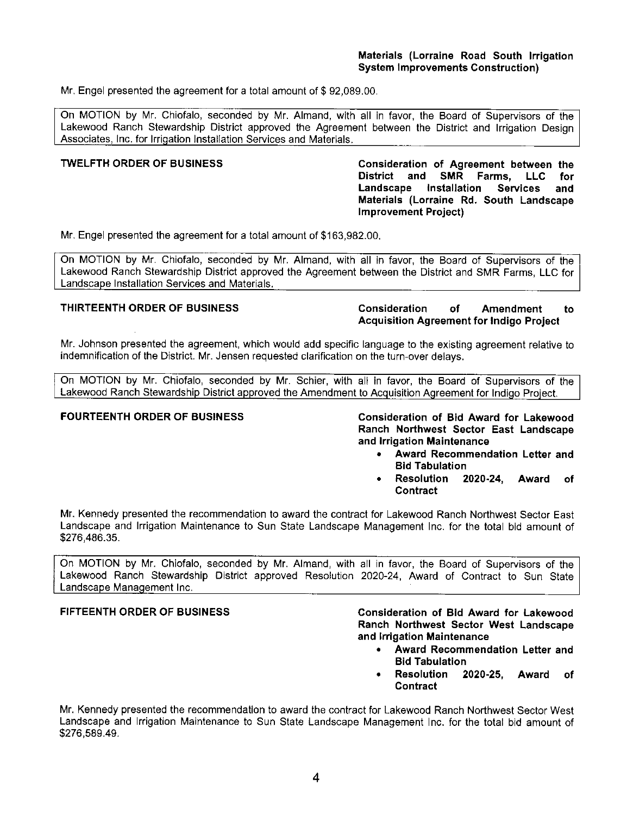Mr. Engel presented the agreement for a total amount of \$92,089,00.

On MOTION by Mr. Chiofalo, seconded by Mr. Almand, with all in favor, the Board of Supervisors of the Lakewood Ranch Stewardship District approved the Agreement between the District and Irrigation Design Associates, Inc. for Irrigation Installation Services and Materials.

### **TWELFTH ORDER OF BUSINESS Consideration of Agreement between the District and SMR Farms, LLC for Landscape Installation Services and Materials (Lorraine Rd. South Landscape Improvement Project)**

Mr. Engel presented the agreement for a total amount of \$[163,982.00.](https://163,982.00)

On MOTION by Mr. Chiofalo, seconded by Mr. Almand, with all in favor, the Board of Supervisors of the Lakewood Ranch Stewardship District approved the Agreement between the District and SMR Farms, LLC for Landscaoe Installation Services and Materials.

# **THIRTEENTH ORDER OF BUSINESS Consideration of Amendment to Acquisition Agreement for Indigo Project**

Mr. Johnson presented the agreement, which would add specific language to the existing agreement relative to indemnification of the District. Mr. Jensen requested clarification on the turn-over delays.

On MOTION by Mr. Chiofalo, seconded by Mr. Schier, with all in favor, the Board of Supervisors of the Lakewood Ranch Stewardship District approved the Amendment to Acquisition Agreement for Indigo Project.

**FOURTEENTH ORDER OF BUSINESS Consideration of Bid Award for Lakewood Ranch Northwest Sector East Landscape and Irrigation Maintenance** 

- **Award Recommendation Letter and Bid Tabulation**
- **Resolution 2020-24, Award of Contract**

Mr. Kennedy presented the recommendation to award the contract for Lakewood Ranch Northwest Sector East Landscape and Irrigation Maintenance to Sun State Landscape Management Inc. for the total bid amount of [\\$276,486.35](https://276,486.35).

On MOTION by Mr. Chiofalo, seconded by Mr. Almand, with all in favor, the Board of Supervisors of the Lakewood Ranch Stewardship District approved Resolution 2020-24, Award of Contract to Sun State Landscape Management Inc.

# **FIFTEENTH ORDER OF BUSINESS**

**Consideration of Bid Award for Lakewood Ranch Northwest Sector West Landscape and Irrigation Maintenance** 

- **Award Recommendation Letter and Bid Tabulation**
- **Resolution 2020-25, Award of Contract**

Mr. Kennedy presented the recommendation to award the contract for Lakewood Ranch Northwest Sector West Landscape and Irrigation Maintenance to Sun State Landscape Management Inc. for the total bid amount of [\\$276,589.49.](https://276,589.49)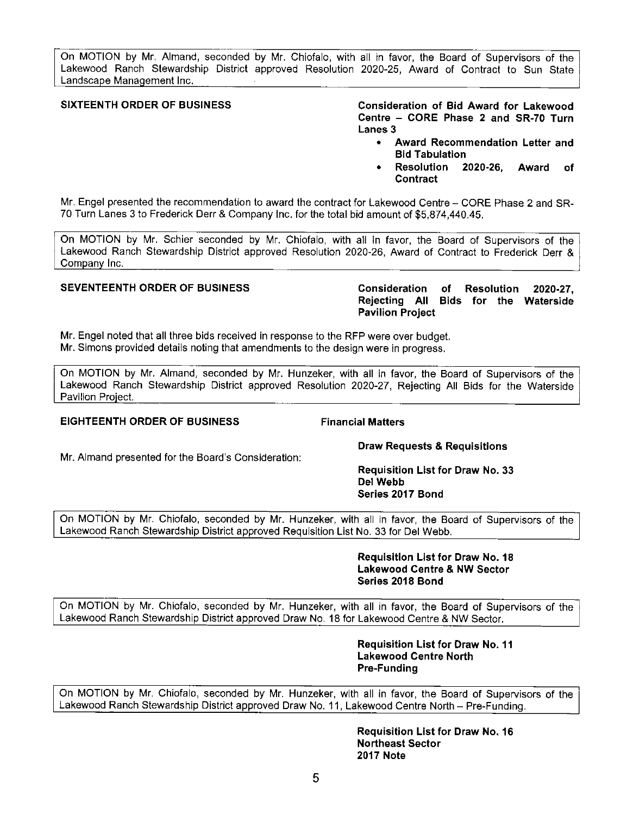On MOTION by Mr. Almand, seconded by Mr. Chiofalo, with all in favor, the Board of Supervisors of the Lakewood Ranch Stewardship District approved Resolution 2020-25, Award of Contract to Sun State Landscape Management Inc.

**SIXTEENTH ORDER OF BUSINESS Consideration of Bid Award for Lakewood Centre - CORE Phase 2 and SR-70 Turn Lanes 3** 

- **Award Recommendation Letter and Bid Tabulation**
- **Resolution 2020-26, Award of Contract**

Mr. Engel presented the recommendation to award the contract for Lakewood Centre - CORE Phase 2 and SR-70 Turn Lanes 3 to Frederick Derr & Company Inc. for the total bid amount of \$[5,874,440.45](https://5,874,440.45).

On MOTION by Mr. Schier seconded by Mr. Chiofalo, with all in favor, the Board of Supervisors of the Lakewood Ranch Stewardship District approved Resolution 2020-26, Award of Contract to Frederick Derr & Company Inc.

**SEVENTEENTH ORDER OF BUSINESS Consideration of Resolution 2020-27, Rejecting All Bids for the Waterside Pavilion Project** 

Mr. Engel noted that all three bids received in response to the RFP were over budget. Mr. Simons provided details noting that amendments to the design were in progress.

On MOTION by Mr. Almand, seconded by Mr. Hunzeker, with all in favor, the Board of Supervisors of the Lakewood Ranch Stewardship District approved Resolution 2020-27, Rejecting All Bids for the Waterside Pavilion Proiect.

### **EIGHTEENTH ORDER OF BUSINESS Financial Matters**

Mr. Almand presented for the Board's Consideration:

# **Draw Requests & Requisitions**

**Requisition List for Draw No. 33 Del Webb Series 2017 Bond** 

On MOTION by Mr. Chiofalo, seconded by Mr. Hunzeker, with all in favor, the Board of Supervisors of the Lakewood Ranch Stewardship District approved Requisition List No. 33 for Del Webb.

> **Requisition List for Draw No. 18 Lakewood Centre & NW Sector Series 2018 Bond**

On MOTION by Mr. Chiofalo, seconded by Mr. Hunzeker, with all in favor, the Board of Supervisors of the Lakewood Ranch Stewardship District approved Draw No. 18 for Lakewood Centre & NW Sector.

> **Requisition List for Draw No. 11 Lakewood Centre North Pre-Funding**

On MOTION by Mr. Chiofalo, seconded by Mr. Hunzeker, with all in favor, the Board of Supervisors of the Lakewood Ranch Stewardship District approved Draw No. 11, Lakewood Centre North - Pre-Funding.

> **Requisition List for Draw No. 16 Northeast Sector 2017 Note**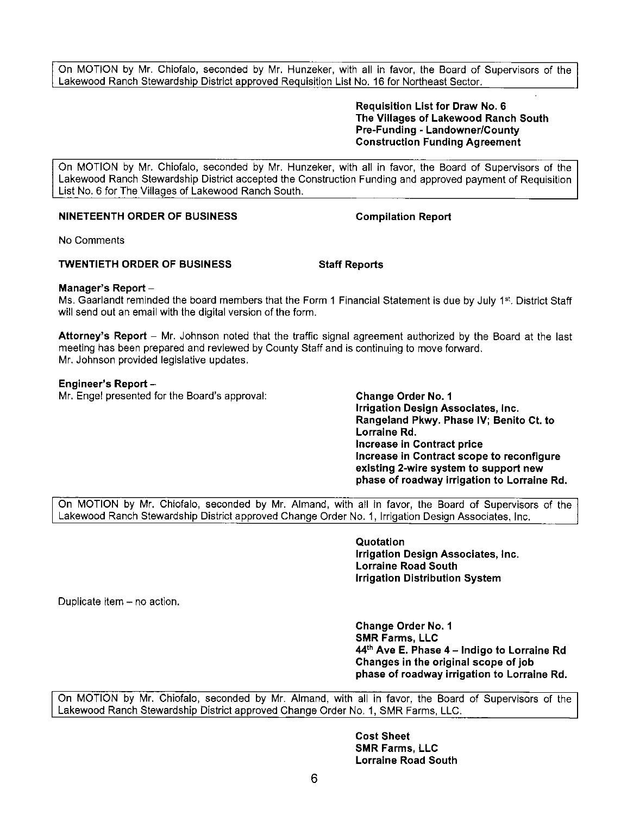On MOTION by Mr. Chiofalo, seconded by Mr. Hunzeker, with all in favor, the Board of Supervisors of the Lakewood Ranch Stewardship District approved Requisition List No. 16 for Northeast Sector.

> **Requisition List for Draw No. 6 The Villages of Lakewood Ranch South Pre-Funding - Landowner/County Construction Funding Agreement**

On MOTION by Mr. Chiofalo, seconded by Mr. Hunzeker, with all in favor, the Board of Supervisors of the Lakewood Ranch Stewardship District accepted the Construction Funding and approved payment of Requisition List No. 6 for The Villages of Lakewood Ranch South.

# **NINETEENTH ORDER OF BUSINESS Compilation Report**

No Comments

### **TWENTIETH ORDER OF BUSINESS Staff Reports**

# **Manager's Report** -

Ms. Gaarlandt reminded the board members that the Form 1 Financial Statement is due by July 1st. District Staff will send out an email with the digital version of the form.

**Attorney's Report** - Mr. Johnson noted that the traffic signal agreement authorized by the Board at the last meeting has been prepared and reviewed by County Staff and is continuing to move forward. Mr. Johnson provided legislative updates.

# **Engineer's Report** -

Mr. Engel presented for the Board's approval: **Change Order No. 1** 

**Irrigation Design Associates, Inc. Rangeland Pkwy. Phase IV; Benito Ct. to Lorraine Rd. Increase in Contract price Increase in Contract scope to reconfigure existing 2-wire system to support new phase of roadway irrigation to Lorraine Rd.** 

On MOTION by Mr. Chiofalo, seconded by Mr. Almand, with all in favor, the Board of Supervisors of the Lakewood Ranch Stewardship District approved Change Order No. 1, Irrigation Design Associates, Inc.

> **Quotation Irrigation Design Associates, Inc. Lorraine Road South Irrigation Distribution System**

Duplicate item - no action.

**Change Order No. 1 SMR Farms, LLC 44th Ave E. Phase 4 - Indigo to Lorraine Rd Changes in the original scope of job phase of roadway irrigation to Lorraine Rd.** 

On MOTION by Mr. Chiofalo, seconded by Mr. Almand, with all in favor, the Board of Supervisors of the Lakewood Ranch Stewardship District approved Change Order No. 1, SMR Farms, LLC.

> **Cost Sheet SMR Farms, LLC Lorraine Road South**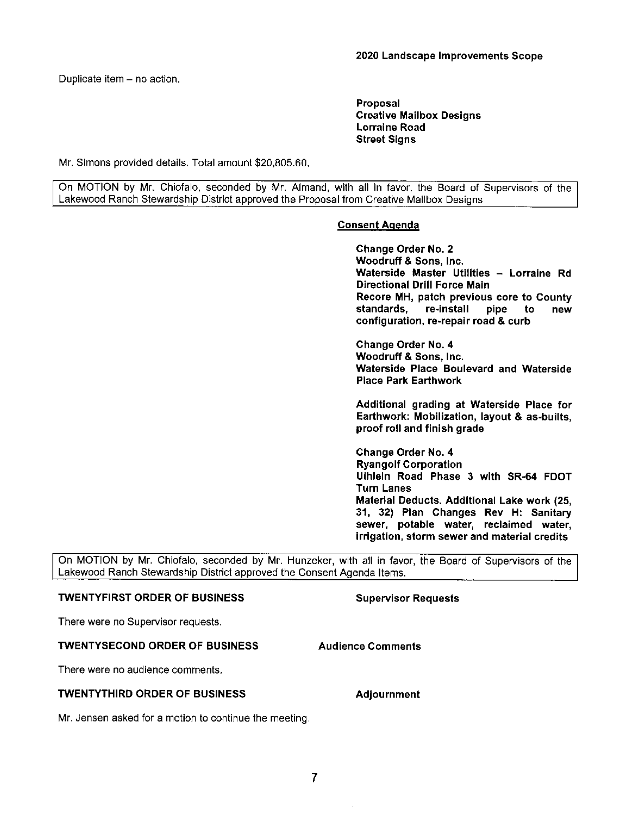Duplicate item - no action.

**Proposal Creative Mailbox Designs Lorraine Road Street Signs** 

Mr. Simons provided details. Total amount [\\$20,805.60](https://20,805.60),

On MOTION by Mr. Chiofalo, seconded by Mr. Almand, with all in favor, the Board of Supervisors of the Lakewood Ranch Stewardship District approved the Proposal from Creative Mailbox Designs

# **Consent Agenda**

**Change Order No. 2 Woodruff** & **Sons, Inc. Waterside Master Utilities** - **Lorraine Rd Directional Drill Force Main Recore MH, patch previous core to County**  pipe to new **configuration, re-repair road** & **curb** 

**Change Order No. 4 Woodruff** & **Sons,** Inc. **Waterside Place Boulevard and Waterside Place Park Earthwork** 

**Additional grading at Waterside Place for Earthwork: Mobilization, layout** & **as-builts, proof roll and finish grade** 

**Change Order No. 4 Ryangolf Corporation Uihlein Road Phase 3 with SR-64 FDOT Turn Lanes Material Deducts. Additional Lake work (25, 31, 32) Plan Changes Rev H: Sanitary sewer, potable water, reclaimed water, irrigation, storm sewer and material credits** 

On MOTION by Mr. Chiofalo, seconded by Mr. Hunzeker, with all in favor, the Board of Supervisors of the Lakewood Ranch Stewardship District approved the Consent Agenda Items.

### **TWENTYFIRST ORDER OF BUSINESS**

### **Supervisor Requests**

**Audience Comments** 

**Adjournment** 

There were no Supervisor requests.

### **TWENTYSECOND ORDER OF BUSINESS**

There were no audience comments.

### **TWENTYTHIRD ORDER OF BUSINESS**

Mr. Jensen asked for a motion to continue the meeting.